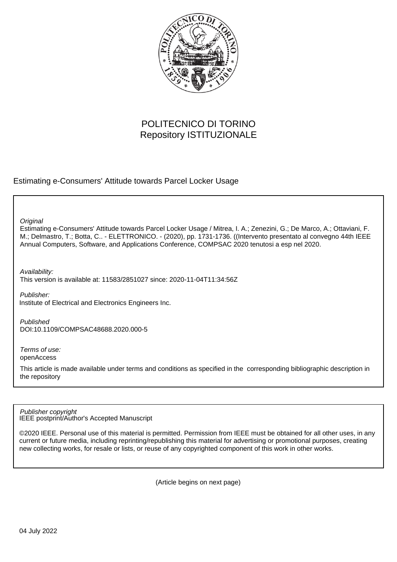

## POLITECNICO DI TORINO Repository ISTITUZIONALE

### Estimating e-Consumers' Attitude towards Parcel Locker Usage

**Original** 

Estimating e-Consumers' Attitude towards Parcel Locker Usage / Mitrea, I. A.; Zenezini, G.; De Marco, A.; Ottaviani, F. M.; Delmastro, T.; Botta, C.. - ELETTRONICO. - (2020), pp. 1731-1736. ((Intervento presentato al convegno 44th IEEE Annual Computers, Software, and Applications Conference, COMPSAC 2020 tenutosi a esp nel 2020.

Availability:

This version is available at: 11583/2851027 since: 2020-11-04T11:34:56Z

Publisher: Institute of Electrical and Electronics Engineers Inc.

Published DOI:10.1109/COMPSAC48688.2020.000-5

Terms of use: openAccess

This article is made available under terms and conditions as specified in the corresponding bibliographic description in the repository

IEEE postprint/Author's Accepted Manuscript Publisher copyright

©2020 IEEE. Personal use of this material is permitted. Permission from IEEE must be obtained for all other uses, in any current or future media, including reprinting/republishing this material for advertising or promotional purposes, creating new collecting works, for resale or lists, or reuse of any copyrighted component of this work in other works.

(Article begins on next page)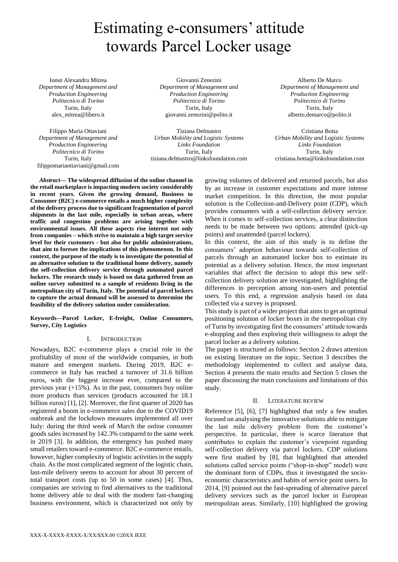# Estimating e-consumers' attitude towards Parcel Locker usage

Ionut Alexandru Mitrea *Department of Management and Production Engineering Politecnico di Torino* Turin, Italy alex\_mitrea@libero.it

Filippo Maria Ottaviani *Department of Management and Production Engineering Politecnico di Torino* Turin, Italy filippomariaottaviani@gmail.com

Giovanni Zenezini *Department of Management and Production Engineering Politecnico di Torino* Turin, Italy giovanni.zenezini@polito.it

Tiziana Delmastro *Urban Mobility and Logistic Systems Links Foundation* Turin, Italy tiziana.delmastro@linksfoundation.com

Alberto De Marco *Department of Management and Production Engineering Politecnico di Torino* Turin, Italy alberto.demarco@polito.it

Cristiana Botta *Urban Mobility and Logistic Systems Links Foundation* Turin, Italy cristiana.botta@linksfoundation.com

*Abstract***— The widespread diffusion of the online channel in the retail marketplace is impacting modern society considerably in recent years. Given the growing demand, Business to Consumer (B2C) e-commerce entails a much higher complexity of the delivery process due to significant fragmentation of parcel shipments in the last mile, especially in urban areas, where traffic and congestion problems are arising together with environmental issues. All these aspects rise interest not only from companies – which strive to maintain a high target service level for their customers - but also for public administrations, that aim to foresee the implications of this phenomenon. In this context, the purpose of the study is to investigate the potential of an alternative solution to the traditional home delivery, namely the self-collection delivery service through automated parcel lockers. The research study is based on data gathered from an online survey submitted to a sample of residents living in the metropolitan city of Turin, Italy. The potential of parcel lockers to capture the actual demand will be assessed to determine the feasibility of the delivery solution under consideration.**

**Keywords—Parcel Locker, E-freight, Online Consumers, Survey, City Logistics**

#### I. INTRODUCTION

Nowadays, B2C e-commerce plays a crucial role in the profitability of most of the worldwide companies, in both mature and emergent markets. During 2019, B2C ecommerce in Italy has reached a turnover of 31.6 billion euros, with the biggest increase ever, compared to the previous year (+15%). As in the past, consumers buy online more products than services (products accounted for 18.1 billion euros) [1], [2]. Moreover, the first quarter of 2020 has registered a boom in e-commerce sales due to the COVID19 outbreak and the lockdown measures implemented all over Italy: during the third week of March the online consumer goods sales increased by 142.3% compared to the same week in 2019 [3]. In addition, the emergency has pushed many small retailers toward e-commerce. B2C e-commerce entails, however, higher complexity of logistic activities in the supply chain. As the most complicated segment of the logistic chain, last-mile delivery seems to account for about 30 percent of total transport costs (up to 50 in some cases) [4]. Thus, companies are striving to find alternatives to the traditional home delivery able to deal with the modern fast-changing business environment, which is characterized not only by growing volumes of delivered and returned parcels, but also by an increase in customer expectations and more intense market competition. In this direction, the most popular solution is the Collection-and-Delivery point (CDP), which provides consumers with a self-collection delivery service. When it comes to self-collection services, a clear distinction needs to be made between two options: attended (pick-up points) and unattended (parcel lockers).

In this context, the aim of this study is to define the consumers' adoption behaviour towards self-collection of parcels through an automated locker box to estimate its potential as a delivery solution. Hence, the most important variables that affect the decision to adopt this new selfcollection delivery solution are investigated, highlighting the differences in perception among non-users and potential users. To this end, a regression analysis based on data collected via a survey is proposed.

This study is part of a wider project that aims to get an optimal positioning solution of locker boxes in the metropolitan city of Turin by investigating first the consumers' attitude towards e-shopping and then exploring their willingness to adopt the parcel locker as a delivery solution.

The paper is structured as follows: Section 2 draws attention on existing literature on the topic. Section 3 describes the methodology implemented to collect and analyse data, Section 4 presents the main results and Section 5 closes the paper discussing the main conclusions and limitations of this study.

#### II. LITERATURE REVIEW

Reference [5], [6], [7] highlighted that only a few studies focused on analysing the innovative solutions able to mitigate the last mile delivery problem from the customer's perspective. In particular, there is scarce literature that contributes to explain the customer's viewpoint regarding self-collection delivery via parcel lockers. CDP solutions were first studied by [8], that highlighted that attended solutions called service points ("shop-in-shop" model) were the dominant form of CDPs, thus it investigated the socioeconomic characteristics and habits of service point users. In 2014, [9] pointed out the fast-spreading of alternative parcel delivery services such as the parcel locker in European metropolitan areas. Similarly, [10] highlighted the growing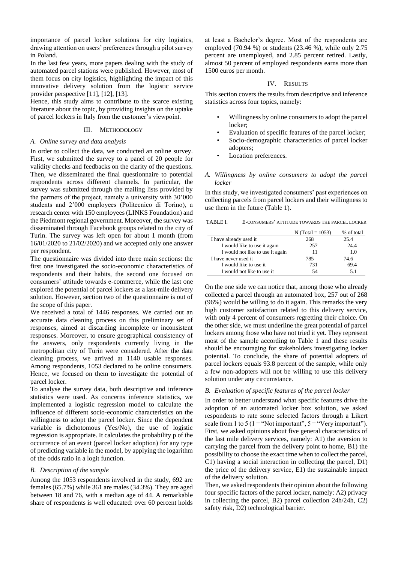importance of parcel locker solutions for city logistics, drawing attention on users' preferences through a pilot survey in Poland.

In the last few years, more papers dealing with the study of automated parcel stations were published. However, most of them focus on city logistics, highlighting the impact of this innovative delivery solution from the logistic service provider perspective [11], [12], [13].

Hence, this study aims to contribute to the scarce existing literature about the topic, by providing insights on the uptake of parcel lockers in Italy from the customer's viewpoint.

#### III. METHODOLOGY

#### *A. Online survey and data analysis*

In order to collect the data, we conducted an online survey. First, we submitted the survey to a panel of 20 people for validity checks and feedbacks on the clarity of the questions. Then, we disseminated the final questionnaire to potential respondents across different channels. In particular, the survey was submitted through the mailing lists provided by the partners of the project, namely a university with 30'000 students and 2'000 employees (Politecnico di Torino), a research center with 150 employees (LINKS Foundation) and the Piedmont regional government. Moreover, the survey was disseminated through Facebook groups related to the city of Turin. The survey was left open for about 1 month (from 16/01/2020 to 21/02/2020) and we accepted only one answer per respondent.

The questionnaire was divided into three main sections: the first one investigated the socio-economic characteristics of respondents and their habits, the second one focused on consumers' attitude towards e-commerce, while the last one explored the potential of parcel lockers as a last-mile delivery solution. However, section two of the questionnaire is out of the scope of this paper.

We received a total of 1446 responses. We carried out an accurate data cleaning process on this preliminary set of responses, aimed at discarding incomplete or inconsistent responses. Moreover, to ensure geographical consistency of the answers, only respondents currently living in the metropolitan city of Turin were considered. After the data cleaning process, we arrived at 1140 usable responses. Among respondents, 1053 declared to be online consumers. Hence, we focused on them to investigate the potential of parcel locker.

To analyse the survey data, both descriptive and inference statistics were used. As concerns inference statistics, we implemented a logistic regression model to calculate the influence of different socio-economic characteristics on the willingness to adopt the parcel locker. Since the dependent variable is dichotomous (Yes/No), the use of logistic regression is appropriate. It calculates the probability p of the occurrence of an event (parcel locker adoption) for any type of predicting variable in the model, by applying the logarithm of the odds ratio in a logit function.

#### *B. Description of the sample*

Among the 1053 respondents involved in the study, 692 are females (65.7%) while 361 are males (34.3%). They are aged between 18 and 76, with a median age of 44. A remarkable share of respondents is well educated: over 60 percent holds at least a Bachelor's degree. Most of the respondents are employed (70.94 %) or students (23.46 %), while only 2.75 percent are unemployed, and 2.85 percent retired. Lastly, almost 50 percent of employed respondents earns more than 1500 euros per month.

#### IV. RESULTS

This section covers the results from descriptive and inference statistics across four topics, namely:

- Willingness by online consumers to adopt the parcel locker;
- Evaluation of specific features of the parcel locker;
- Socio-demographic characteristics of parcel locker adopters;
- Location preferences.
- *A. Willingness by online consumers to adopt the parcel locker*

In this study, we investigated consumers' past experiences on collecting parcels from parcel lockers and their willingness to use them in the future (Table 1).

TABLE I. E-CONSUMERS' ATTITUDE TOWARDS THE PARCEL LOCKER

|                                  | N (Total = $1053$ ) | % of total |
|----------------------------------|---------------------|------------|
| I have already used it           | 268                 | 25.4       |
| I would like to use it again     | 257                 | 24.4       |
| I would not like to use it again | 11                  | 1.0        |
| I have never used it             | 785                 | 74.6       |
| I would like to use it           | 731                 | 69.4       |
| I would not like to use it       | 54                  | 5.1        |

On the one side we can notice that, among those who already collected a parcel through an automated box, 257 out of 268 (96%) would be willing to do it again. This remarks the very high customer satisfaction related to this delivery service, with only 4 percent of consumers regretting their choice. On the other side, we must underline the great potential of parcel lockers among those who have not tried it yet. They represent most of the sample according to Table 1 and these results should be encouraging for stakeholders investigating locker potential. To conclude, the share of potential adopters of parcel lockers equals 93.8 percent of the sample, while only a few non-adopters will not be willing to use this delivery solution under any circumstance.

#### *B. Evaluation of specific features of the parcel locker*

In order to better understand what specific features drive the adoption of an automated locker box solution, we asked respondents to rate some selected factors through a Likert scale from 1 to 5 ( $1 =$  "Not important",  $5 =$  "Very important"). First, we asked opinions about five general characteristics of the last mile delivery services, namely: A1) the aversion to carrying the parcel from the delivery point to home, B1) the possibility to choose the exact time when to collect the parcel, C1) having a social interaction in collecting the parcel, D1) the price of the delivery service, E1) the sustainable impact of the delivery solution.

Then, we asked respondents their opinion about the following four specific factors of the parcel locker, namely: A2) privacy in collecting the parcel, B2) parcel collection 24h/24h, C2) safety risk, D2) technological barrier.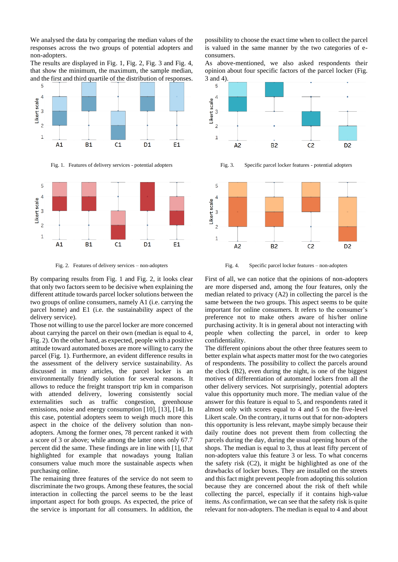We analysed the data by comparing the median values of the responses across the two groups of potential adopters and non-adopters.

The results are displayed in Fig. 1, Fig. 2, Fig. 3 and Fig. 4, that show the minimum, the maximum, the sample median, and the first and third quartile of the distribution of responses.



Fig. 1. Features of delivery services - potential adopters



Fig. 2. Features of delivery services – non-adopters

By comparing results from Fig. 1 and Fig. 2, it looks clear that only two factors seem to be decisive when explaining the different attitude towards parcel locker solutions between the two groups of online consumers, namely A1 (i.e. carrying the parcel home) and E1 (i.e. the sustainability aspect of the delivery service).

Those not willing to use the parcel locker are more concerned about carrying the parcel on their own (median is equal to 4, Fig. 2). On the other hand, as expected, people with a positive attitude toward automated boxes are more willing to carry the parcel (Fig. 1). Furthermore, an evident difference results in the assessment of the delivery service sustainability. As discussed in many articles, the parcel locker is an environmentally friendly solution for several reasons. It allows to reduce the freight transport trip km in comparison with attended delivery, lowering consistently social externalities such as traffic congestion, greenhouse emissions, noise and energy consumption [10], [13], [14]. In this case, potential adopters seem to weigh much more this aspect in the choice of the delivery solution than nonadopters. Among the former ones, 78 percent ranked it with a score of 3 or above; while among the latter ones only 67.7 percent did the same. These findings are in line with [1], that highlighted for example that nowadays young Italian consumers value much more the sustainable aspects when purchasing online.

The remaining three features of the service do not seem to discriminate the two groups. Among these features, the social interaction in collecting the parcel seems to be the least important aspect for both groups. As expected, the price of the service is important for all consumers. In addition, the

possibility to choose the exact time when to collect the parcel is valued in the same manner by the two categories of econsumers.

As above-mentioned, we also asked respondents their opinion about four specific factors of the parcel locker (Fig. 3 and 4).



Fig. 3. Specific parcel locker features - potential adopters



Fig. 4. Specific parcel locker features – non-adopters

First of all, we can notice that the opinions of non-adopters are more dispersed and, among the four features, only the median related to privacy (A2) in collecting the parcel is the same between the two groups. This aspect seems to be quite important for online consumers. It refers to the consumer's preference not to make others aware of his/her online purchasing activity. It is in general about not interacting with people when collecting the parcel, in order to keep confidentiality.

The different opinions about the other three features seem to better explain what aspects matter most for the two categories of respondents. The possibility to collect the parcels around the clock (B2), even during the night, is one of the biggest motives of differentiation of automated lockers from all the other delivery services. Not surprisingly, potential adopters value this opportunity much more. The median value of the answer for this feature is equal to 5, and respondents rated it almost only with scores equal to 4 and 5 on the five-level Likert scale. On the contrary, it turns out that for non-adopters this opportunity is less relevant, maybe simply because their daily routine does not prevent them from collecting the parcels during the day, during the usual opening hours of the shops. The median is equal to 3, thus at least fifty percent of non-adopters value this feature 3 or less. To what concerns the safety risk (C2), it might be highlighted as one of the drawbacks of locker boxes. They are installed on the streets and this fact might prevent people from adopting this solution because they are concerned about the risk of theft while collecting the parcel, especially if it contains high-value items. As confirmation, we can see that the safety risk is quite relevant for non-adopters. The median is equal to 4 and about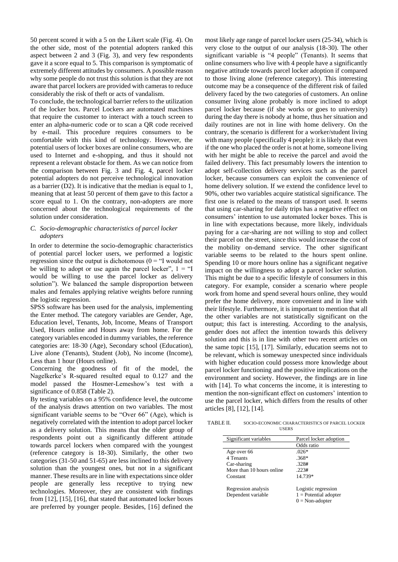50 percent scored it with a 5 on the Likert scale (Fig. 4). On the other side, most of the potential adopters ranked this aspect between 2 and 3 (Fig. 3), and very few respondents gave it a score equal to 5. This comparison is symptomatic of extremely different attitudes by consumers. A possible reason why some people do not trust this solution is that they are not aware that parcel lockers are provided with cameras to reduce considerably the risk of theft or acts of vandalism.

To conclude, the technological barrier refers to the utilization of the locker box. Parcel Lockers are automated machines that require the customer to interact with a touch screen to enter an alpha-numeric code or to scan a QR code received by e-mail. This procedure requires consumers to be comfortable with this kind of technology. However, the potential users of locker boxes are online consumers, who are used to Internet and e-shopping, and thus it should not represent a relevant obstacle for them. As we can notice from the comparison between Fig. 3 and Fig. 4, parcel locker potential adopters do not perceive technological innovation as a barrier (D2). It is indicative that the median is equal to 1, meaning that at least 50 percent of them gave to this factor a score equal to 1. On the contrary, non-adopters are more concerned about the technological requirements of the solution under consideration.

#### *C. Socio-demographic characteristics of parcel locker adopters*

In order to determine the socio-demographic characteristics of potential parcel locker users, we performed a logistic regression since the output is dichotomous ( $0 =$  "I would not be willing to adopt or use again the parcel locker",  $1 = "I$ would be willing to use the parcel locker as delivery solution"). We balanced the sample disproportion between males and females applying relative weights before running the logistic regression.

SPSS software has been used for the analysis, implementing the Enter method. The category variables are Gender, Age, Education level, Tenants, Job, Income, Means of Transport Used, Hours online and Hours away from home. For the category variables encoded in dummy variables, the reference categories are: 18-30 (Age), Secondary school (Education), Live alone (Tenants), Student (Job), No income (Income), Less than 1 hour (Hours online).

Concerning the goodness of fit of the model, the Nagelkerke's R-squared resulted equal to 0.127 and the model passed the Hosmer-Lemeshow's test with a significance of 0.858 (Table 2).

By testing variables on a 95% confidence level, the outcome of the analysis draws attention on two variables. The most significant variable seems to be "Over 66" (Age), which is negatively correlated with the intention to adopt parcel locker as a delivery solution. This means that the older group of respondents point out a significantly different attitude towards parcel lockers when compared with the youngest (reference category is 18-30). Similarly, the other two categories (31-50 and 51-65) are less inclined to this delivery solution than the youngest ones, but not in a significant manner. These results are in line with expectations since older people are generally less receptive to trying new technologies. Moreover, they are consistent with findings from [12], [15], [16], that stated that automated locker boxes are preferred by younger people. Besides, [16] defined the

most likely age range of parcel locker users (25-34), which is very close to the output of our analysis (18-30). The other significant variable is "4 people" (Tenants). It seems that online consumers who live with 4 people have a significantly negative attitude towards parcel locker adoption if compared to those living alone (reference category). This interesting outcome may be a consequence of the different risk of failed delivery faced by the two categories of customers. An online consumer living alone probably is more inclined to adopt parcel locker because (if she works or goes to university) during the day there is nobody at home, thus her situation and daily routines are not in line with home delivery. On the contrary, the scenario is different for a worker/student living with many people (specifically 4 people): it is likely that even if the one who placed the order is not at home, someone living with her might be able to receive the parcel and avoid the failed delivery. This fact presumably lowers the intention to adopt self-collection delivery services such as the parcel locker, because consumers can exploit the convenience of home delivery solution. If we extend the confidence level to 90%, other two variables acquire statistical significance. The first one is related to the means of transport used. It seems that using car-sharing for daily trips has a negative effect on consumers' intention to use automated locker boxes. This is in line with expectations because, more likely, individuals paying for a car-sharing are not willing to stop and collect their parcel on the street, since this would increase the cost of the mobility on-demand service. The other significant variable seems to be related to the hours spent online. Spending 10 or more hours online has a significant negative impact on the willingness to adopt a parcel locker solution. This might be due to a specific lifestyle of consumers in this category. For example, consider a scenario where people work from home and spend several hours online, they would prefer the home delivery, more convenient and in line with their lifestyle. Furthermore, it is important to mention that all the other variables are not statistically significant on the output; this fact is interesting. According to the analysis, gender does not affect the intention towards this delivery solution and this is in line with other two recent articles on the same topic [15], [17]. Similarly, education seems not to be relevant, which is someway unexpected since individuals with higher education could possess more knowledge about parcel locker functioning and the positive implications on the environment and society. However, the findings are in line with [14]. To what concerns the income, it is interesting to mention the non-significant effect on customers' intention to use the parcel locker, which differs from the results of other articles [8], [12], [14].

TABLE II. SOCIO-ECONOMIC CHARACTERISTICS OF PARCEL LOCKER USERS

| Significant variables     | Parcel locker adoption   |  |
|---------------------------|--------------------------|--|
|                           | Odds ratio               |  |
| Age over 66               | $.026*$                  |  |
| 4 Tenants                 | $.368*$                  |  |
| Car-sharing               | .328#                    |  |
| More than 10 hours online | 223#                     |  |
| Constant                  | 14.739*                  |  |
| Regression analysis       | Logistic regression      |  |
| Dependent variable        | $1 =$ Potential adopter  |  |
|                           | $0 = \text{Non-adopter}$ |  |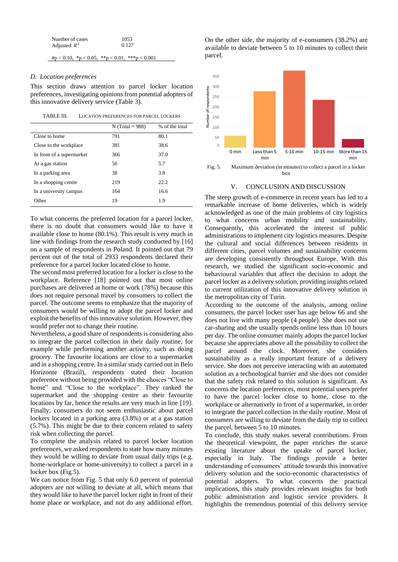| Number of cases | 1053  |
|-----------------|-------|
| Adjusted $R^2$  | 0.127 |

# $p < 0.10$ , \* $p < 0.05$ , \*\* $p < 0.01$ , \*\*\* $p < 0.001$ 

#### *D. Location preferences*

This section draws attention to parcel locker location preferences, investigating opinions from potential adopters of this innovative delivery service (Table 3).

TABLE III. LOCATION PREFERENCES FOR PARCEL LOCKERS

|                           | N (Total = $988$ ) | % of the total |
|---------------------------|--------------------|----------------|
| Close to home             | 791                | 80.1           |
| Close to the workplace    | 381                | 38.6           |
| In front of a supermarket | 366                | 37.0           |
| At a gas station          | 56                 | 5.7            |
| In a parking area         | 38                 | 3.8            |
| In a shopping centre      | 219                | 22.2           |
| In a university campus    | 164                | 16.6           |
| Other                     | 19                 | 1.9            |

To what concerns the preferred location for a parcel locker, there is no doubt that consumers would like to have it available close to home (80.1%). This result is very much in line with findings from the research study conducted by [16] on a sample of respondents in Poland. It pointed out that 79 percent out of the total of 2933 respondents declared their preference for a parcel locker located close to home.

The second most preferred location for a locker is close to the workplace. Reference [18] pointed out that most online purchases are delivered at home or work (78%) because this does not require personal travel by consumers to collect the parcel. The outcome seems to emphasize that the majority of consumers would be willing to adopt the parcel locker and exploit the benefits of this innovative solution. However, they would prefer not to change their routine.

Nevertheless, a good share of respondents is considering also to integrate the parcel collection in their daily routine, for example while performing another activity, such as doing grocery. The favourite locations are close to a supermarket and in a shopping centre. In a similar study carried out in Belo Horizonte (Brazil), respondents stated their location preference without being provided with the choices "Close to home" and "Close to the workplace". They ranked the supermarket and the shopping centre as their favourite locations by far, hence the results are very much in line [19]. Finally, consumers do not seem enthusiastic about parcel lockers located in a parking area (3.8%) or at a gas station (5.7%). This might be due to their concern related to safety risk when collecting the parcel.

To complete the analysis related to parcel locker location preferences, we asked respondents to state how many minutes they would be willing to deviate from usual daily trips (e.g. home-workplace or home-university) to collect a parcel in a locker box (Fig.5).

We can notice from Fig. 5 that only 6.0 percent of potential adopters are not willing to deviate at all, which means that they would like to have the parcel locker right in front of their home place or workplace, and not do any additional effort. On the other side, the majority of e-consumers (38.2%) are available to deviate between 5 to 10 minutes to collect their parcel.



Fig. 5. Maximum deviation (in minutes) to collect a parcel in a locker box

#### V. CONCLUSION AND DISCUSSION

The steep growth of e-commerce in recent years has led to a remarkable increase of home deliveries, which is widely acknowledged as one of the main problems of city logistics to what concerns urban mobility and sustainability. Consequently, this accelerated the interest of public administrations to implement city logistics measures. Despite the cultural and social differences between residents in different cities, parcel volumes and sustainability concerns are developing consistently throughout Europe. With this research, we studied the significant socio-economic and behavioural variables that affect the decision to adopt the parcel locker as a delivery solution, providing insights related to current utilization of this innovative delivery solution in the metropolitan city of Turin.

According to the outcome of the analysis, among online consumers, the parcel locker user has age below 66 and she does not live with many people (4 people). She does not use car-sharing and she usually spends online less than 10 hours per day. The online consumer mainly adopts the parcel locker because she appreciates above all the possibility to collect the parcel around the clock. Moreover, she considers sustainability as a really important feature of a delivery service. She does not perceive interacting with an automated solution as a technological barrier and she does not consider that the safety risk related to this solution is significant. As concerns the location preferences, most potential users prefer to have the parcel locker close to home, close to the workplace or alternatively in front of a supermarket, in order to integrate the parcel collection in the daily routine. Most of consumers are willing to deviate from the daily trip to collect the parcel, between 5 to 10 minutes.

To conclude, this study makes several contributions. From the theoretical viewpoint, the paper enriches the scarce existing literature about the uptake of parcel locker, especially in Italy. The findings provide a better understanding of consumers' attitude towards this innovative delivery solution and the socio-economic characteristics of potential adopters. To what concerns the practical implications, this study provides relevant insights for both public administration and logistic service providers. It highlights the tremendous potential of this delivery service